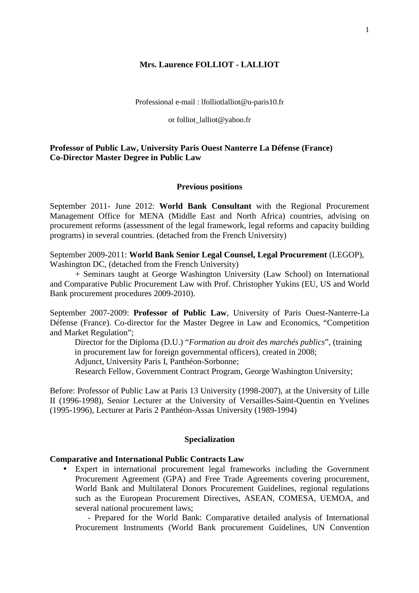### **Mrs. Laurence FOLLIOT - LALLIOT**

Professional e-mail : lfolliotlalliot@u-paris10.fr

#### or folliot lalliot@yahoo.fr

## **Professor of Public Law, University Paris Ouest Nanterre La Défense (France) Co-Director Master Degree in Public Law**

#### **Previous positions**

September 2011- June 2012: **World Bank Consultant** with the Regional Procurement Management Office for MENA (Middle East and North Africa) countries, advising on procurement reforms (assessment of the legal framework, legal reforms and capacity building programs) in several countries. (detached from the French University)

September 2009-2011: **World Bank Senior Legal Counsel, Legal Procurement** (LEGOP), Washington DC, (detached from the French University)

+ Seminars taught at George Washington University (Law School) on International and Comparative Public Procurement Law with Prof. Christopher Yukins (EU, US and World Bank procurement procedures 2009-2010).

September 2007-2009: **Professor of Public Law**, University of Paris Ouest-Nanterre-La Défense (France). Co-director for the Master Degree in Law and Economics, "Competition and Market Regulation";

Director for the Diploma (D.U.) "*Formation au droit des marchés publics*", (training in procurement law for foreign governmental officers), created in 2008; Adjunct, University Paris I, Panthéon-Sorbonne; Research Fellow, Government Contract Program, George Washington University;

Before: Professor of Public Law at Paris 13 University (1998-2007), at the University of Lille II (1996-1998), Senior Lecturer at the University of Versailles-Saint-Quentin en Yvelines (1995-1996), Lecturer at Paris 2 Panthéon-Assas University (1989-1994)

#### **Specialization**

### **Comparative and International Public Contracts Law**

• Expert in international procurement legal frameworks including the Government Procurement Agreement (GPA) and Free Trade Agreements covering procurement, World Bank and Multilateral Donors Procurement Guidelines, regional regulations such as the European Procurement Directives, ASEAN, COMESA, UEMOA, and several national procurement laws;

- Prepared for the World Bank: Comparative detailed analysis of International Procurement Instruments (World Bank procurement Guidelines, UN Convention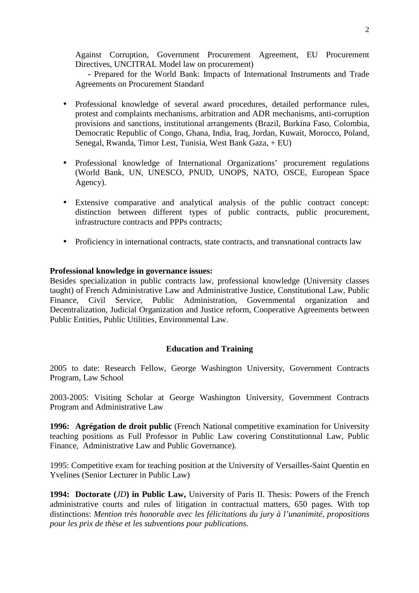Against Corruption, Government Procurement Agreement, EU Procurement Directives, UNCITRAL Model law on procurement)

**-** Prepared for the World Bank: Impacts of International Instruments and Trade Agreements on Procurement Standard

- Professional knowledge of several award procedures, detailed performance rules, protest and complaints mechanisms, arbitration and ADR mechanisms, anti-corruption provisions and sanctions, institutional arrangements (Brazil, Burkina Faso, Colombia, Democratic Republic of Congo, Ghana, India, Iraq, Jordan, Kuwait, Morocco, Poland, Senegal, Rwanda, Timor Lest, Tunisia, West Bank Gaza, + EU)
- Professional knowledge of International Organizations' procurement regulations (World Bank, UN, UNESCO, PNUD, UNOPS, NATO, OSCE, European Space Agency).
- Extensive comparative and analytical analysis of the public contract concept: distinction between different types of public contracts, public procurement, infrastructure contracts and PPPs contracts;
- Proficiency in international contracts, state contracts, and transnational contracts law

### **Professional knowledge in governance issues:**

Besides specialization in public contracts law, professional knowledge (University classes taught) of French Administrative Law and Administrative Justice, Constitutional Law, Public Finance, Civil Service, Public Administration, Governmental organization and Decentralization, Judicial Organization and Justice reform, Cooperative Agreements between Public Entities, Public Utilities, Environmental Law.

## **Education and Training**

2005 to date: Research Fellow, George Washington University, Government Contracts Program, Law School

2003-2005: Visiting Scholar at George Washington University, Government Contracts Program and Administrative Law

**1996: Agrégation de droit public** (French National competitive examination for University teaching positions as Full Professor in Public Law covering Constitutionnal Law, Public Finance, Administrative Law and Public Governance).

1995: Competitive exam for teaching position at the University of Versailles-Saint Quentin en Yvelines (Senior Lecturer in Public Law)

**1994: Doctorate (***JD***) in Public Law,** University of Paris II. Thesis: Powers of the French administrative courts and rules of litigation in contractual matters, 650 pages. With top distinctions: *Mention très honorable avec les félicitations du jury à l'unanimité, propositions pour les prix de thèse et les subventions pour publications*.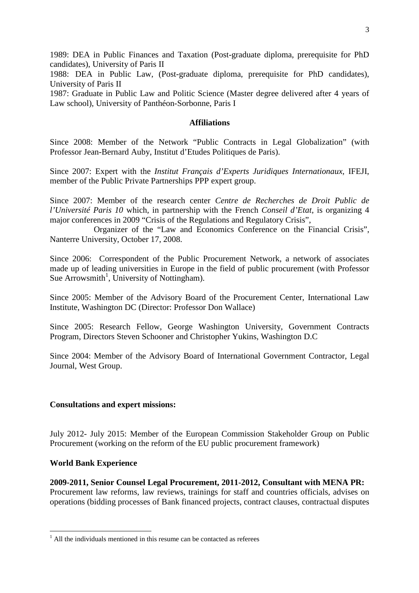1989: DEA in Public Finances and Taxation (Post-graduate diploma, prerequisite for PhD candidates), University of Paris II

1988: DEA in Public Law, (Post-graduate diploma, prerequisite for PhD candidates), University of Paris II

1987: Graduate in Public Law and Politic Science (Master degree delivered after 4 years of Law school), University of Panthéon-Sorbonne, Paris I

### **Affiliations**

Since 2008: Member of the Network "Public Contracts in Legal Globalization" (with Professor Jean-Bernard Auby, Institut d'Etudes Politiques de Paris).

Since 2007: Expert with the *Institut Français d'Experts Juridiques Internationaux*, IFEJI, member of the Public Private Partnerships PPP expert group.

Since 2007: Member of the research center *Centre de Recherches de Droit Public de l'Université Paris 10* which, in partnership with the French *Conseil d'Etat*, is organizing 4 major conferences in 2009 "Crisis of the Regulations and Regulatory Crisis",

 Organizer of the "Law and Economics Conference on the Financial Crisis", Nanterre University, October 17, 2008.

Since 2006: Correspondent of the Public Procurement Network, a network of associates made up of leading universities in Europe in the field of public procurement (with Professor Sue Arrowsmith<sup>1</sup>, University of Nottingham).

Since 2005: Member of the Advisory Board of the Procurement Center, International Law Institute, Washington DC (Director: Professor Don Wallace)

Since 2005: Research Fellow, George Washington University, Government Contracts Program, Directors Steven Schooner and Christopher Yukins, Washington D.C

Since 2004: Member of the Advisory Board of International Government Contractor, Legal Journal, West Group.

#### **Consultations and expert missions:**

July 2012- July 2015: Member of the European Commission Stakeholder Group on Public Procurement (working on the reform of the EU public procurement framework)

#### **World Bank Experience**

 $\overline{a}$ 

**2009-2011, Senior Counsel Legal Procurement, 2011-2012, Consultant with MENA PR:**  Procurement law reforms, law reviews, trainings for staff and countries officials, advises on operations (bidding processes of Bank financed projects, contract clauses, contractual disputes

 $<sup>1</sup>$  All the individuals mentioned in this resume can be contacted as referees</sup>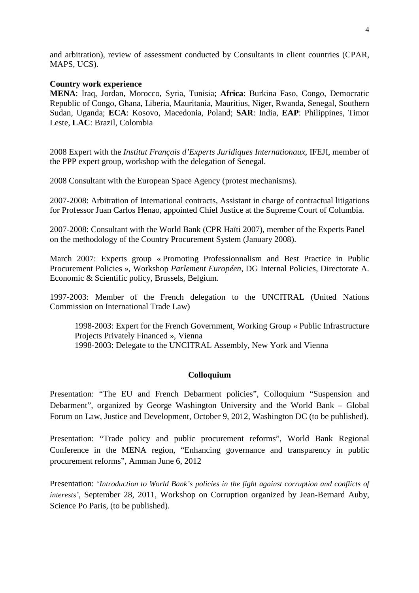and arbitration), review of assessment conducted by Consultants in client countries (CPAR, MAPS, UCS).

#### **Country work experience**

**MENA**: Iraq, Jordan, Morocco, Syria, Tunisia; **Africa**: Burkina Faso, Congo, Democratic Republic of Congo, Ghana, Liberia, Mauritania, Mauritius, Niger, Rwanda, Senegal, Southern Sudan, Uganda; **ECA**: Kosovo, Macedonia, Poland; **SAR**: India, **EAP**: Philippines, Timor Leste, **LAC**: Brazil, Colombia

2008 Expert with the *Institut Français d'Experts Juridiques Internationaux*, IFEJI, member of the PPP expert group, workshop with the delegation of Senegal.

2008 Consultant with the European Space Agency (protest mechanisms).

2007-2008: Arbitration of International contracts, Assistant in charge of contractual litigations for Professor Juan Carlos Henao, appointed Chief Justice at the Supreme Court of Columbia.

2007-2008: Consultant with the World Bank (CPR Haïti 2007), member of the Experts Panel on the methodology of the Country Procurement System (January 2008).

March 2007: Experts group « Promoting Professionnalism and Best Practice in Public Procurement Policies », Workshop *Parlement Européen*, DG Internal Policies, Directorate A. Economic & Scientific policy, Brussels, Belgium.

1997-2003: Member of the French delegation to the UNCITRAL (United Nations Commission on International Trade Law)

1998-2003: Expert for the French Government, Working Group « Public Infrastructure Projects Privately Financed », Vienna 1998-2003: Delegate to the UNCITRAL Assembly, New York and Vienna

### **Colloquium**

Presentation: "The EU and French Debarment policies", Colloquium "Suspension and Debarment", organized by George Washington University and the World Bank – Global Forum on Law, Justice and Development, October 9, 2012, Washington DC (to be published).

Presentation: "Trade policy and public procurement reforms", World Bank Regional Conference in the MENA region, "Enhancing governance and transparency in public procurement reforms", Amman June 6, 2012

Presentation: '*Introduction to World Bank's policies in the fight against corruption and conflicts of interests'*, September 28, 2011, Workshop on Corruption organized by Jean-Bernard Auby, Science Po Paris, (to be published).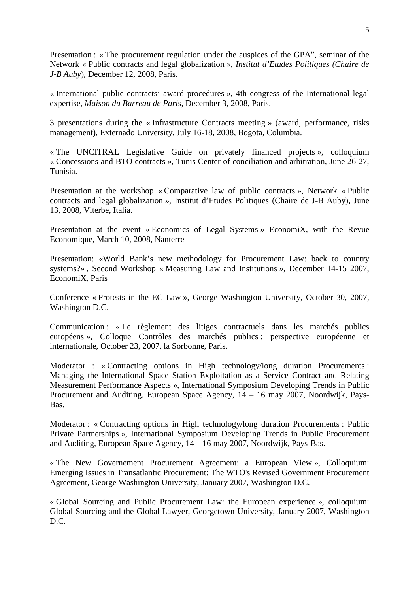Presentation : « The procurement regulation under the auspices of the GPA", seminar of the Network « Public contracts and legal globalization », *Institut d'Etudes Politiques (Chaire de J-B Auby*), December 12, 2008, Paris.

« International public contracts' award procedures », 4th congress of the International legal expertise, *Maison du Barreau de Paris,* December 3, 2008, Paris.

3 presentations during the « Infrastructure Contracts meeting » (award, performance, risks management), Externado University, July 16-18, 2008, Bogota, Columbia.

« The UNCITRAL Legislative Guide on privately financed projects », colloquium « Concessions and BTO contracts », Tunis Center of conciliation and arbitration, June 26-27, Tunisia.

Presentation at the workshop « Comparative law of public contracts », Network « Public contracts and legal globalization », Institut d'Etudes Politiques (Chaire de J-B Auby), June 13, 2008, Viterbe, Italia.

Presentation at the event « Economics of Legal Systems » EconomiX, with the Revue Economique, March 10, 2008, Nanterre

Presentation: «World Bank's new methodology for Procurement Law: back to country systems?» , Second Workshop « Measuring Law and Institutions », December 14-15 2007, EconomiX, Paris

Conference « Protests in the EC Law », George Washington University, October 30, 2007, Washington D.C.

Communication : « Le règlement des litiges contractuels dans les marchés publics européens », Colloque Contrôles des marchés publics : perspective européenne et internationale, October 23, 2007, la Sorbonne, Paris.

Moderator : « Contracting options in High technology/long duration Procurements : Managing the International Space Station Exploitation as a Service Contract and Relating Measurement Performance Aspects », International Symposium Developing Trends in Public Procurement and Auditing, European Space Agency, 14 – 16 may 2007, Noordwijk, Pays-Bas.

Moderator : « Contracting options in High technology/long duration Procurements : Public Private Partnerships », International Symposium Developing Trends in Public Procurement and Auditing, European Space Agency, 14 – 16 may 2007, Noordwijk, Pays-Bas.

« The New Governement Procurement Agreement: a European View », Colloquium: Emerging Issues in Transatlantic Procurement: The WTO's Revised Government Procurement Agreement, George Washington University, January 2007, Washington D.C.

« Global Sourcing and Public Procurement Law: the European experience », colloquium: Global Sourcing and the Global Lawyer, Georgetown University, January 2007, Washington D.C.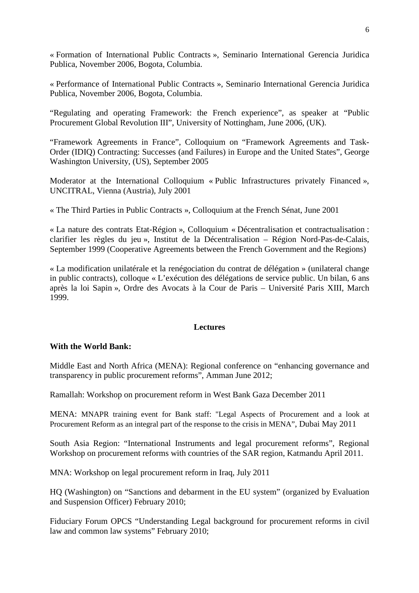« Formation of International Public Contracts », Seminario International Gerencia Juridica Publica, November 2006, Bogota, Columbia.

« Performance of International Public Contracts », Seminario International Gerencia Juridica Publica, November 2006, Bogota, Columbia.

"Regulating and operating Framework: the French experience", as speaker at "Public Procurement Global Revolution III", University of Nottingham, June 2006, (UK).

"Framework Agreements in France", Colloquium on "Framework Agreements and Task-Order (IDIQ) Contracting: Successes (and Failures) in Europe and the United States", George Washington University, (US), September 2005

Moderator at the International Colloquium « Public Infrastructures privately Financed », UNCITRAL, Vienna (Austria), July 2001

« The Third Parties in Public Contracts », Colloquium at the French Sénat, June 2001

« La nature des contrats Etat-Région », Colloquium « Décentralisation et contractualisation : clarifier les règles du jeu », Institut de la Décentralisation – Région Nord-Pas-de-Calais, September 1999 (Cooperative Agreements between the French Government and the Regions)

« La modification unilatérale et la renégociation du contrat de délégation » (unilateral change in public contracts), colloque « L'exécution des délégations de service public. Un bilan, 6 ans après la loi Sapin », Ordre des Avocats à la Cour de Paris – Université Paris XIII, March 1999.

#### **Lectures**

#### **With the World Bank:**

Middle East and North Africa (MENA): Regional conference on "enhancing governance and transparency in public procurement reforms", Amman June 2012;

Ramallah: Workshop on procurement reform in West Bank Gaza December 2011

MENA: MNAPR training event for Bank staff: "Legal Aspects of Procurement and a look at Procurement Reform as an integral part of the response to the crisis in MENA", Dubai May 2011

South Asia Region: "International Instruments and legal procurement reforms", Regional Workshop on procurement reforms with countries of the SAR region, Katmandu April 2011.

MNA: Workshop on legal procurement reform in Iraq, July 2011

HQ (Washington) on "Sanctions and debarment in the EU system" (organized by Evaluation and Suspension Officer) February 2010;

Fiduciary Forum OPCS "Understanding Legal background for procurement reforms in civil law and common law systems" February 2010;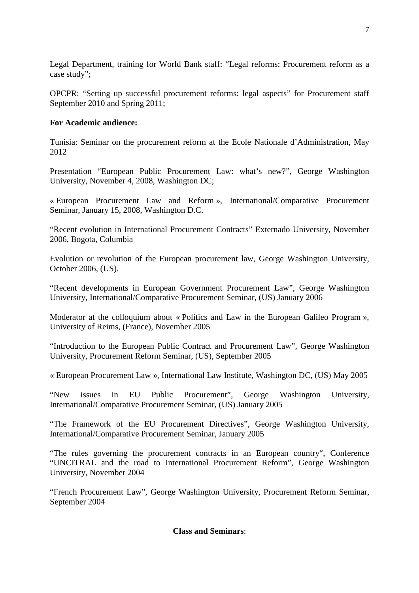Legal Department, training for World Bank staff: "Legal reforms: Procurement reform as a case study";

OPCPR: "Setting up successful procurement reforms: legal aspects" for Procurement staff September 2010 and Spring 2011;

# **For Academic audience:**

Tunisia: Seminar on the procurement reform at the Ecole Nationale d'Administration, May 2012

Presentation "European Public Procurement Law: what's new?", George Washington University, November 4, 2008, Washington DC;

« European Procurement Law and Reform », International/Comparative Procurement Seminar, January 15, 2008, Washington D.C.

"Recent evolution in International Procurement Contracts" Externado University, November 2006, Bogota, Columbia

Evolution or revolution of the European procurement law, George Washington University, October 2006, (US).

"Recent developments in European Government Procurement Law", George Washington University, International/Comparative Procurement Seminar, (US) January 2006

Moderator at the colloquium about « Politics and Law in the European Galileo Program », University of Reims, (France), November 2005

"Introduction to the European Public Contract and Procurement Law", George Washington University, Procurement Reform Seminar, (US), September 2005

« European Procurement Law », International Law Institute, Washington DC, (US) May 2005

"New issues in EU Public Procurement", George Washington University, International/Comparative Procurement Seminar, (US) January 2005

"The Framework of the EU Procurement Directives", George Washington University, International/Comparative Procurement Seminar, January 2005

"The rules governing the procurement contracts in an European country", Conference "UNCITRAL and the road to International Procurement Reform", George Washington University, November 2004

"French Procurement Law", George Washington University, Procurement Reform Seminar, September 2004

## **Class and Seminars**: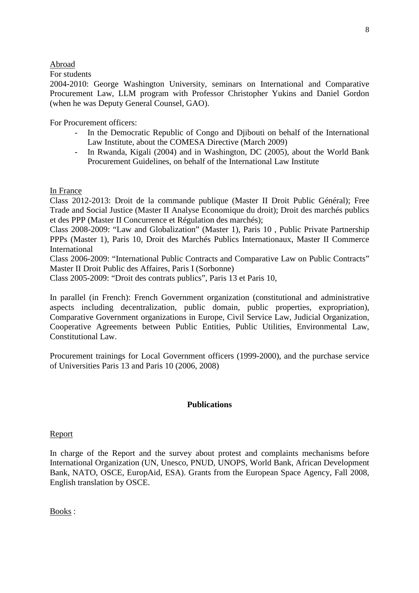### Abroad

For students

2004-2010: George Washington University, seminars on International and Comparative Procurement Law, LLM program with Professor Christopher Yukins and Daniel Gordon (when he was Deputy General Counsel, GAO).

For Procurement officers:

- In the Democratic Republic of Congo and Djibouti on behalf of the International Law Institute, about the COMESA Directive (March 2009)
- In Rwanda, Kigali (2004) and in Washington, DC (2005), about the World Bank Procurement Guidelines, on behalf of the International Law Institute

In France

Class 2012-2013: Droit de la commande publique (Master II Droit Public Général); Free Trade and Social Justice (Master II Analyse Economique du droit); Droit des marchés publics et des PPP (Master II Concurrence et Régulation des marchés);

Class 2008-2009: "Law and Globalization" (Master 1), Paris 10 , Public Private Partnership PPPs (Master 1), Paris 10, Droit des Marchés Publics Internationaux, Master II Commerce International

Class 2006-2009: "International Public Contracts and Comparative Law on Public Contracts" Master II Droit Public des Affaires, Paris I (Sorbonne)

Class 2005-2009: "Droit des contrats publics", Paris 13 et Paris 10,

In parallel (in French): French Government organization (constitutional and administrative aspects including decentralization, public domain, public properties, expropriation), Comparative Government organizations in Europe, Civil Service Law, Judicial Organization, Cooperative Agreements between Public Entities, Public Utilities, Environmental Law, Constitutional Law.

Procurement trainings for Local Government officers (1999-2000), and the purchase service of Universities Paris 13 and Paris 10 (2006, 2008)

## **Publications**

## Report

In charge of the Report and the survey about protest and complaints mechanisms before International Organization (UN, Unesco, PNUD, UNOPS, World Bank, African Development Bank, NATO, OSCE, EuropAid, ESA). Grants from the European Space Agency, Fall 2008, English translation by OSCE.

Books :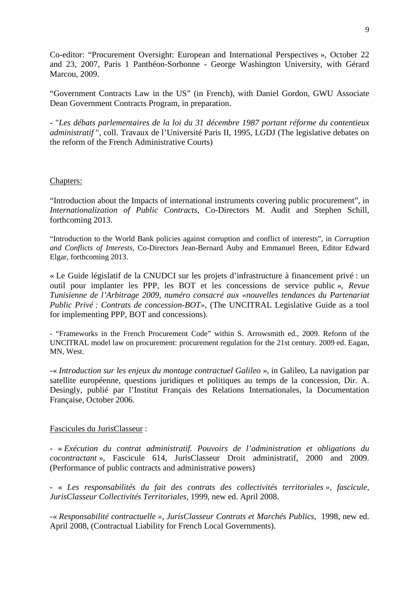Co-editor: "Procurement Oversight: European and International Perspectives », October 22 and 23, 2007, Paris 1 Panthéon-Sorbonne - George Washington University, with Gérard Marcou, 2009.

"Government Contracts Law in the US" (in French), with Daniel Gordon, GWU Associate Dean Government Contracts Program, in preparation.

- "*Les débats parlementaires de la loi du 31 décembre 1987 portant réforme du contentieux administratif* ", coll. Travaux de l'Université Paris II, 1995, LGDJ (The legislative debates on the reform of the French Administrative Courts)

## Chapters:

"Introduction about the Impacts of international instruments covering public procurement", in *Internationalization of Public Contracts,* Co-Directors M. Audit and Stephen Schill, forthcoming 2013.

"Introduction to the World Bank policies against corruption and conflict of interests", in *Corruption and Conflicts of Interests,* Co-Directors Jean-Bernard Auby and Emmanuel Breen, Editor Edward Elgar, forthcoming 2013.

« Le Guide législatif de la CNUDCI sur les projets d'infrastructure à financement privé : un outil pour implanter les PPP, les BOT et les concessions de service public », *Revue Tunisienne de l'Arbitrage 2009, numéro consacré aux «nouvelles tendances du Partenariat Public Privé : Contrats de concession-BOT»*, (The UNCITRAL Legislative Guide as a tool for implementing PPP, BOT and concessions).

- "Frameworks in the French Procurement Code" within S. Arrowsmith ed., 2009. Reform of the UNCITRAL model law on procurement: procurement regulation for the 21st century. 2009 ed. Eagan, MN, West.

-« *Introduction sur les enjeux du montage contractuel Galileo* », in Galileo, La navigation par satellite européenne, questions juridiques et politiques au temps de la concession, Dir. A. Desingly, publié par l'Institut Français des Relations Internationales, la Documentation Française, October 2006.

## Fascicules du JurisClasseur :

- « *Exécution du contrat administratif. Pouvoirs de l'administration et obligations du cocontractant* », Fascicule 614, JurisClasseur Droit administratif, 2000 and 2009. (Performance of public contracts and administrative powers)

- « *Les responsabilités du fait des contrats des collectivités territoriales », fascicule, JurisClasseur Collectivités Territoriales*, 1999, new ed. April 2008.

-« *Responsabilité contractuelle », JurisClasseur Contrats et Marchés Publics,* 1998, new ed. April 2008, (Contractual Liability for French Local Governments).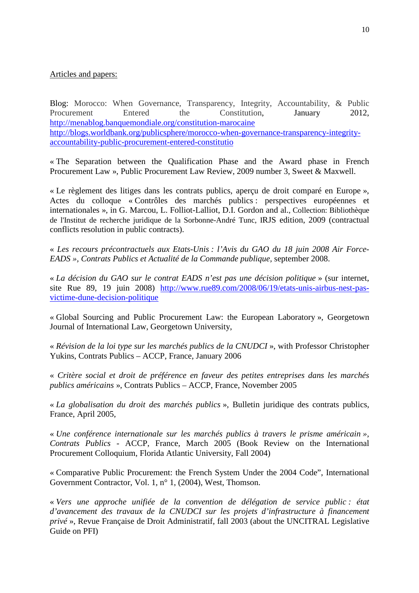## Articles and papers:

Blog: Morocco: When Governance, Transparency, Integrity, Accountability, & Public Procurement Entered the Constitution, January 2012, http://menablog.banquemondiale.org/constitution-marocaine http://blogs.worldbank.org/publicsphere/morocco-when-governance-transparency-integrityaccountability-public-procurement-entered-constitutio

« The Separation between the Qualification Phase and the Award phase in French Procurement Law », Public Procurement Law Review, 2009 number 3, Sweet & Maxwell.

« Le règlement des litiges dans les contrats publics, aperçu de droit comparé en Europe », Actes du colloque « Contrôles des marchés publics : perspectives européennes et internationales », in G. Marcou, L. Folliot-Lalliot, D.I. Gordon and al., Collection: Bibliothèque de l'Institut de recherche juridique de la Sorbonne-André Tunc, IRJS edition, 2009 (contractual conflicts resolution in public contracts).

« *Les recours précontractuels aux Etats-Unis : l'Avis du GAO du 18 juin 2008 Air Force-EADS », Contrats Publics et Actualité de la Commande publique,* september 2008.

« *La décision du GAO sur le contrat EADS n'est pas une décision politique* » (sur internet, site Rue 89, 19 juin 2008) http://www.rue89.com/2008/06/19/etats-unis-airbus-nest-pasvictime-dune-decision-politique

« Global Sourcing and Public Procurement Law: the European Laboratory », Georgetown Journal of International Law, Georgetown University,

« *Révision de la loi type sur les marchés publics de la CNUDCI* », with Professor Christopher Yukins, Contrats Publics – ACCP, France, January 2006

« *Critère social et droit de préférence en faveur des petites entreprises dans les marchés publics américains* », Contrats Publics – ACCP, France, November 2005

« *La globalisation du droit des marchés publics* », Bulletin juridique des contrats publics, France, April 2005,

« *Une conférence internationale sur les marchés publics à travers le prisme américain », Contrats Publics* - ACCP, France, March 2005 (Book Review on the International Procurement Colloquium, Florida Atlantic University, Fall 2004)

« Comparative Public Procurement: the French System Under the 2004 Code", International Government Contractor, Vol. 1, n° 1, (2004), West, Thomson.

« *Vers une approche unifiée de la convention de délégation de service public : état d'avancement des travaux de la CNUDCI sur les projets d'infrastructure à financement privé* », Revue Française de Droit Administratif, fall 2003 (about the UNCITRAL Legislative Guide on PFI)